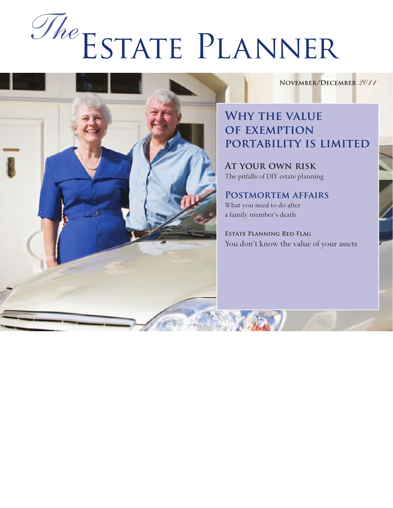# Estate Planner *The*

**November/December** *2011*

## **Why the value of exemption portability is limited**

**At your own risk** The pitfalls of DIY estate planning

**Postmortem affairs** What you need to do after a family member's death

**Estate Planning Red Flag** You don't know the value of your assets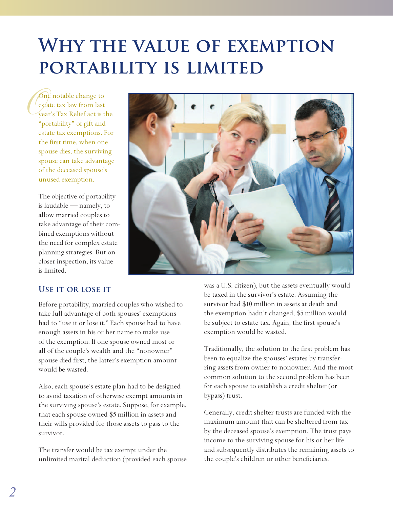# **Why the value of exemption portability is limited**

**C**<br>
est<br>
yea One notable change to estate tax law from last year's Tax Relief act is the "portability" of gift and estate tax exemptions. For the first time, when one spouse dies, the surviving spouse can take advantage of the deceased spouse's unused exemption.

> The objective of portability is laudable — namely, to allow married couples to take advantage of their combined exemptions without the need for complex estate planning strategies. But on closer inspection, its value is limited.



#### **Use it or lose it**

Before portability, married couples who wished to take full advantage of both spouses' exemptions had to "use it or lose it." Each spouse had to have enough assets in his or her name to make use of the exemption. If one spouse owned most or all of the couple's wealth and the "nonowner" spouse died first, the latter's exemption amount would be wasted.

Also, each spouse's estate plan had to be designed to avoid taxation of otherwise exempt amounts in the surviving spouse's estate. Suppose, for example, that each spouse owned \$5 million in assets and their wills provided for those assets to pass to the survivor.

The transfer would be tax exempt under the unlimited marital deduction (provided each spouse was a U.S. citizen), but the assets eventually would be taxed in the survivor's estate. Assuming the survivor had \$10 million in assets at death and the exemption hadn't changed, \$5 million would be subject to estate tax. Again, the first spouse's exemption would be wasted.

Traditionally, the solution to the first problem has been to equalize the spouses' estates by transferring assets from owner to nonowner. And the most common solution to the second problem has been for each spouse to establish a credit shelter (or bypass) trust.

Generally, credit shelter trusts are funded with the maximum amount that can be sheltered from tax by the deceased spouse's exemption. The trust pays income to the surviving spouse for his or her life and subsequently distributes the remaining assets to the couple's children or other beneficiaries.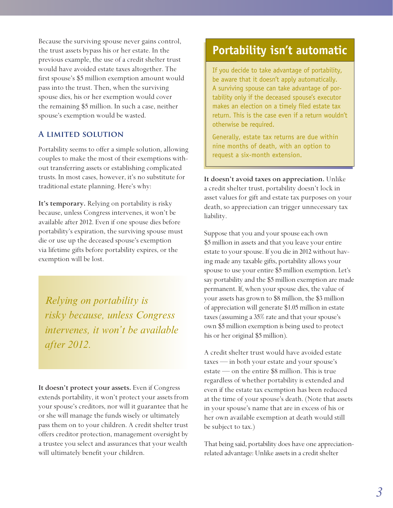Because the surviving spouse never gains control, the trust assets bypass his or her estate. In the previous example, the use of a credit shelter trust would have avoided estate taxes altogether. The first spouse's \$5 million exemption amount would pass into the trust. Then, when the surviving spouse dies, his or her exemption would cover the remaining \$5 million. In such a case, neither spouse's exemption would be wasted.

#### **A limited solution**

Portability seems to offer a simple solution, allowing couples to make the most of their exemptions without transferring assets or establishing complicated trusts. In most cases, however, it's no substitute for traditional estate planning. Here's why:

**It's temporary.** Relying on portability is risky because, unless Congress intervenes, it won't be available after 2012. Even if one spouse dies before portability's expiration, the surviving spouse must die or use up the deceased spouse's exemption via lifetime gifts before portability expires, or the exemption will be lost.

*Relying on portability is risky because, unless Congress intervenes, it won't be available after 2012.*

**It doesn't protect your assets.** Even if Congress extends portability, it won't protect your assets from your spouse's creditors, nor will it guarantee that he or she will manage the funds wisely or ultimately pass them on to your children. A credit shelter trust offers creditor protection, management oversight by a trustee you select and assurances that your wealth will ultimately benefit your children.

# **Portability isn't automatic**

If you decide to take advantage of portability, be aware that it doesn't apply automatically. A surviving spouse can take advantage of portability only if the deceased spouse's executor makes an election on a timely filed estate tax return. This is the case even if a return wouldn't otherwise be required.

Generally, estate tax returns are due within nine months of death, with an option to request a six-month extension.

**It doesn't avoid taxes on appreciation.** Unlike a credit shelter trust, portability doesn't lock in asset values for gift and estate tax purposes on your death, so appreciation can trigger unnecessary tax liability.

Suppose that you and your spouse each own \$5 million in assets and that you leave your entire estate to your spouse. If you die in 2012 without having made any taxable gifts, portability allows your spouse to use your entire \$5 million exemption. Let's say portability and the \$5 million exemption are made permanent. If, when your spouse dies, the value of your assets has grown to \$8 million, the \$3 million of appreciation will generate \$1.05 million in estate taxes (assuming a 35% rate and that your spouse's own \$5 million exemption is being used to protect his or her original \$5 million).

A credit shelter trust would have avoided estate taxes — in both your estate and your spouse's estate — on the entire \$8 million. This is true regardless of whether portability is extended and even if the estate tax exemption has been reduced at the time of your spouse's death. (Note that assets in your spouse's name that are in excess of his or her own available exemption at death would still be subject to tax.)

That being said, portability does have one appreciationrelated advantage: Unlike assets in a credit shelter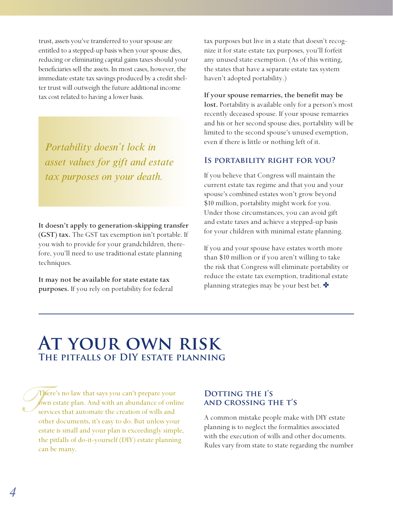trust, assets you've transferred to your spouse are entitled to a stepped-up basis when your spouse dies, reducing or eliminating capital gains taxes should your beneficiaries sell the assets. In most cases, however, the immediate estate tax savings produced by a credit shelter trust will outweigh the future additional income tax cost related to having a lower basis.

*Portability doesn't lock in asset values for gift and estate tax purposes on your death.*

**It doesn't apply to generation-skipping transfer (GST) tax.** The GST tax exemption isn't portable. If you wish to provide for your grandchildren, therefore, you'll need to use traditional estate planning techniques.

**It may not be available for state estate tax purposes.** If you rely on portability for federal tax purposes but live in a state that doesn't recognize it for state estate tax purposes, you'll forfeit any unused state exemption. (As of this writing, the states that have a separate estate tax system haven't adopted portability.)

#### **If your spouse remarries, the benefit may be**

**lost.** Portability is available only for a person's most recently deceased spouse. If your spouse remarries and his or her second spouse dies, portability will be limited to the second spouse's unused exemption, even if there is little or nothing left of it.

#### **Is portability right for you?**

If you believe that Congress will maintain the current estate tax regime and that you and your spouse's combined estates won't grow beyond \$10 million, portability might work for you. Under those circumstances, you can avoid gift and estate taxes and achieve a stepped-up basis for your children with minimal estate planning.

If you and your spouse have estates worth more than \$10 million or if you aren't willing to take the risk that Congress will eliminate portability or reduce the estate tax exemption, traditional estate planning strategies may be your best bet.

# **At your own risk The pitfalls of DIY estate planning**

*S*<br>*S*<br>*S*<br>*S*<br>*S*<br>*S* There's no law that says you can't prepare your own estate plan. And with an abundance of online services that automate the creation of wills and other documents, it's easy to do. But unless your estate is small and your plan is exceedingly simple, the pitfalls of do-it-yourself (DIY) estate planning can be many.

#### DOTTING THE I'S **and crossing the t's**

A common mistake people make with DIY estate planning is to neglect the formalities associated with the execution of wills and other documents. Rules vary from state to state regarding the number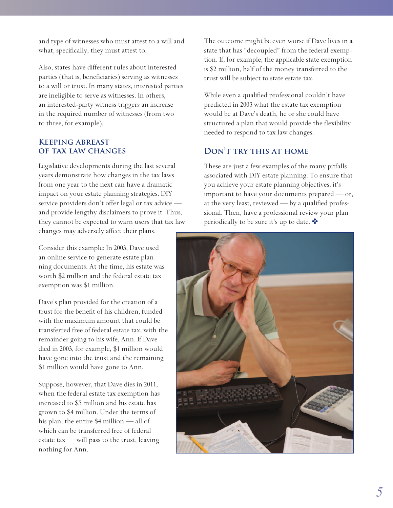and type of witnesses who must attest to a will and what, specifically, they must attest to.

Also, states have different rules about interested parties (that is, beneficiaries) serving as witnesses to a will or trust. In many states, interested parties are ineligible to serve as witnesses. In others, an interested-party witness triggers an increase in the required number of witnesses (from two to three, for example).

#### **Keeping abreast of tax law changes**

Legislative developments during the last several years demonstrate how changes in the tax laws from one year to the next can have a dramatic impact on your estate planning strategies. DIY service providers don't offer legal or tax advice and provide lengthy disclaimers to prove it. Thus, they cannot be expected to warn users that tax law changes may adversely affect their plans.

Consider this example: In 2003, Dave used an online service to generate estate planning documents. At the time, his estate was worth \$2 million and the federal estate tax exemption was \$1 million.

Dave's plan provided for the creation of a trust for the benefit of his children, funded with the maximum amount that could be transferred free of federal estate tax, with the remainder going to his wife, Ann. If Dave died in 2003, for example, \$1 million would have gone into the trust and the remaining \$1 million would have gone to Ann.

Suppose, however, that Dave dies in 2011, when the federal estate tax exemption has increased to \$5 million and his estate has grown to \$4 million. Under the terms of his plan, the entire \$4 million — all of which can be transferred free of federal estate tax — will pass to the trust, leaving nothing for Ann.

The outcome might be even worse if Dave lives in a state that has "decoupled" from the federal exemption. If, for example, the applicable state exemption is \$2 million, half of the money transferred to the trust will be subject to state estate tax.

While even a qualified professional couldn't have predicted in 2003 what the estate tax exemption would be at Dave's death, he or she could have structured a plan that would provide the flexibility needed to respond to tax law changes.

#### **Don't try this at home**

These are just a few examples of the many pitfalls associated with DIY estate planning. To ensure that you achieve your estate planning objectives, it's important to have your documents prepared — or, at the very least, reviewed — by a qualified professional. Then, have a professional review your plan periodically to be sure it's up to date.

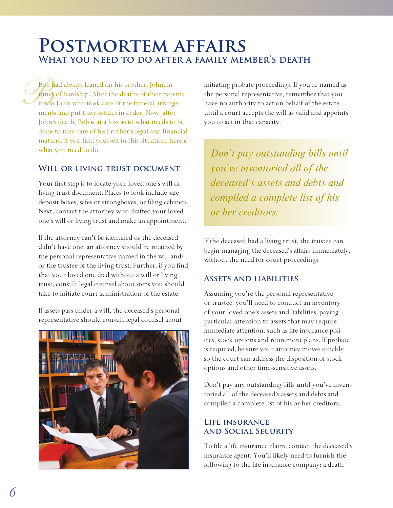# **Postmortem affairs What you need to do after a family member's death**

Bob h Bob had always leaned on his brother, John, in times of hardship. After the deaths of their parents it was John who took care of the funeral arrangements and put their estates in order. Now, after John's death, Bob is at a loss as to what needs to be done to take care of his brother's legal and financial matters. If you find yourself in this situation, here's what you need to do.

#### **Will or living trust document**

Your first step is to locate your loved one's will or living trust document. Places to look include safe deposit boxes, safes or strongboxes, or filing cabinets. Next, contact the attorney who drafted your loved one's will or living trust and make an appointment.

If the attorney can't be identified or the deceased didn't have one, an attorney should be retained by the personal representative named in the will and/ or the trustee of the living trust. Further, if you find that your loved one died without a will or living trust, consult legal counsel about steps you should take to initiate court administration of the estate.

If assets pass under a will, the deceased's personal representative should consult legal counsel about



initiating probate proceedings. If you're named as the personal representative, remember that you have no authority to act on behalf of the estate until a court accepts the will as valid and appoints you to act in that capacity.

*Don't pay outstanding bills until you've inventoried all of the deceased's assets and debts and compiled a complete list of his or her creditors.*

If the deceased had a living trust, the trustee can begin managing the deceased's affairs immediately, without the need for court proceedings.

#### **Assets and liabilities**

Assuming you're the personal representative or trustee, you'll need to conduct an inventory of your loved one's assets and liabilities, paying particular attention to assets that may require immediate attention, such as life insurance policies, stock options and retirement plans. If probate is required, be sure your attorney moves quickly so the court can address the disposition of stock options and other time-sensitive assets.

Don't pay any outstanding bills until you've inventoried all of the deceased's assets and debts and compiled a complete list of his or her creditors.

#### **Life insurance and Social Security**

To file a life insurance claim, contact the deceased's insurance agent. You'll likely need to furnish the following to the life insurance company: a death